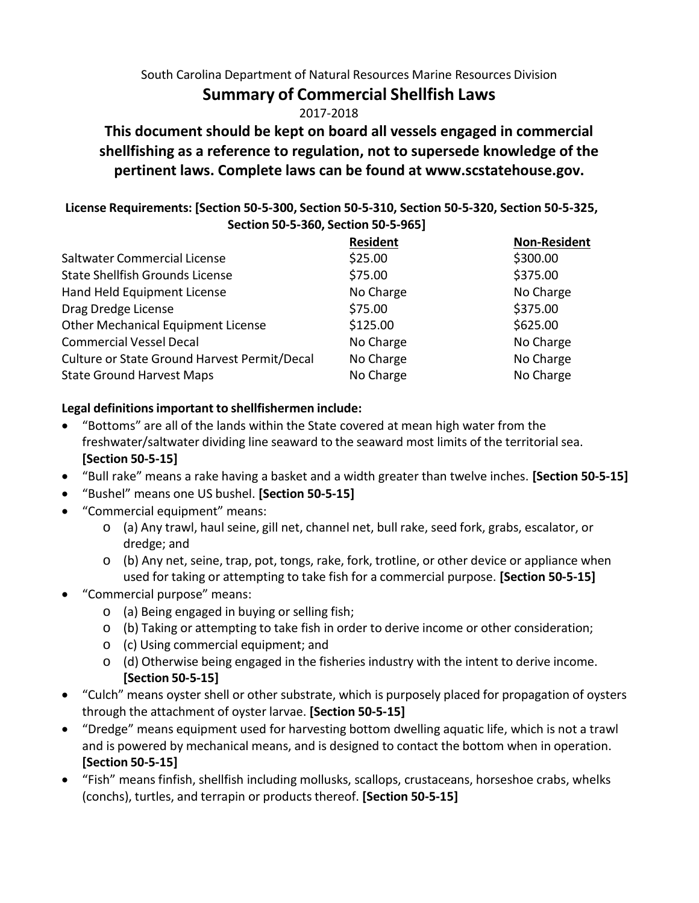South Carolina Department of Natural Resources Marine Resources Division

# **Summary of Commercial Shellfish Laws**

2017-2018

**This document should be kept on board all vessels engaged in commercial shellfishing as a reference to regulation, not to supersede knowledge of the pertinent laws. Complete laws can be found at [www.scstatehouse.gov.](http://www.scstatehouse.gov/)**

#### **License Requirements: [Section 50-5-300, Section 50-5-310, Section 50-5-320, Section 50-5-325, Section 50-5-360, Section 50-5-965]**

|                                              | <b>Resident</b> | <b>Non-Resident</b> |
|----------------------------------------------|-----------------|---------------------|
| Saltwater Commercial License                 | \$25.00         | \$300.00            |
| <b>State Shellfish Grounds License</b>       | \$75.00         | \$375.00            |
| Hand Held Equipment License                  | No Charge       | No Charge           |
| Drag Dredge License                          | \$75.00         | \$375.00            |
| <b>Other Mechanical Equipment License</b>    | \$125.00        | \$625.00            |
| <b>Commercial Vessel Decal</b>               | No Charge       | No Charge           |
| Culture or State Ground Harvest Permit/Decal | No Charge       | No Charge           |
| <b>State Ground Harvest Maps</b>             | No Charge       | No Charge           |

## **Legal definitionsimportant to shellfishermen include:**

- "Bottoms" are all of the lands within the State covered at mean high water from the freshwater/saltwater dividing line seaward to the seaward most limits of the territorial sea. **[Section 50-5-15]**
- "Bull rake" means a rake having a basket and a width greater than twelve inches. **[Section 50-5-15]**
- "Bushel" means one US bushel. **[Section 50-5-15]**
- "Commercial equipment" means:
	- o (a) Any trawl, haul seine, gill net, channel net, bull rake, seed fork, grabs, escalator, or dredge; and
	- o (b) Any net, seine, trap, pot, tongs, rake, fork, trotline, or other device or appliance when used for taking or attempting to take fish for a commercial purpose. **[Section 50-5-15]**
- "Commercial purpose" means:
	- o (a) Being engaged in buying or selling fish;
	- $\circ$  (b) Taking or attempting to take fish in order to derive income or other consideration;
	- o (c) Using commercial equipment; and
	- $\circ$  (d) Otherwise being engaged in the fisheries industry with the intent to derive income. **[Section 50-5-15]**
- "Culch" means oyster shell or other substrate, which is purposely placed for propagation of oysters through the attachment of oyster larvae. **[Section 50-5-15]**
- "Dredge" means equipment used for harvesting bottom dwelling aquatic life, which is not a trawl and is powered by mechanical means, and is designed to contact the bottom when in operation. **[Section 50-5-15]**
- "Fish" means finfish, shellfish including mollusks, scallops, crustaceans, horseshoe crabs, whelks (conchs), turtles, and terrapin or productsthereof. **[Section 50-5-15]**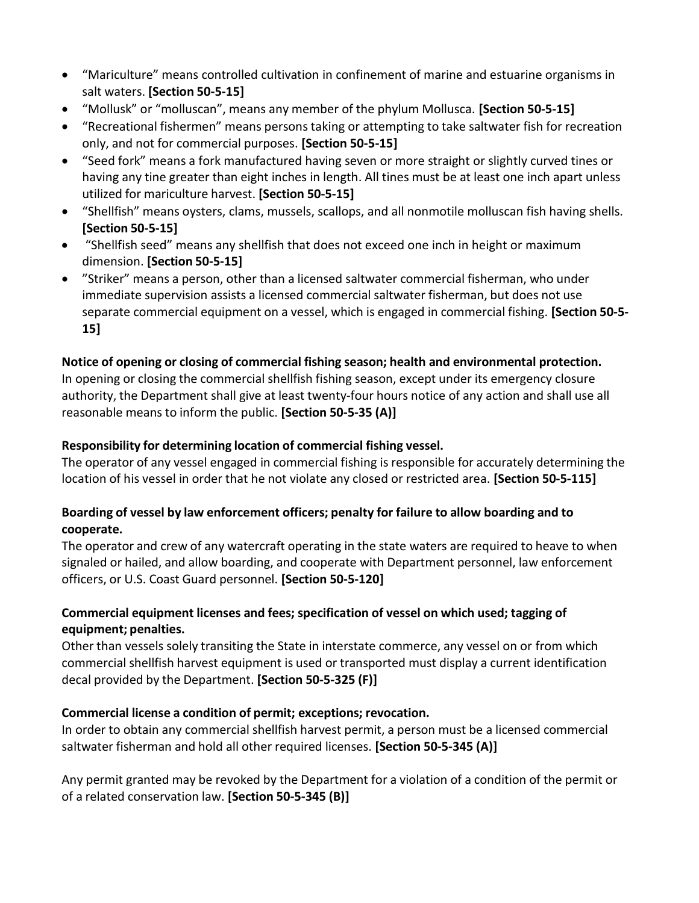- "Mariculture" means controlled cultivation in confinement of marine and estuarine organisms in salt waters. **[Section 50-5-15]**
- "Mollusk" or "molluscan", means any member of the phylum Mollusca. **[Section 50-5-15]**
- "Recreational fishermen" means persons taking or attempting to take saltwater fish for recreation only, and not for commercial purposes. **[Section 50-5-15]**
- "Seed fork" means a fork manufactured having seven or more straight or slightly curved tines or having any tine greater than eight inches in length. All tines must be at least one inch apart unless utilized for mariculture harvest. **[Section 50-5-15]**
- "Shellfish" means oysters, clams, mussels, scallops, and all nonmotile molluscan fish having shells. **[Section 50-5-15]**
- "Shellfish seed" means any shellfish that does not exceed one inch in height or maximum dimension. **[Section 50-5-15]**
- "Striker" means a person, other than a licensed saltwater commercial fisherman, who under immediate supervision assists a licensed commercial saltwater fisherman, but does not use separate commercial equipment on a vessel, which is engaged in commercial fishing. **[Section 50-5- 15]**

## **Notice of opening or closing of commercial fishing season; health and environmental protection.**

In opening or closing the commercial shellfish fishing season, except under its emergency closure authority, the Department shall give at least twenty-four hours notice of any action and shall use all reasonable means to inform the public. **[Section 50-5-35 (A)]**

#### **Responsibility for determining location of commercial fishing vessel.**

The operator of any vessel engaged in commercial fishing isresponsible for accurately determining the location of his vessel in order that he not violate any closed or restricted area. **[Section 50-5-115]**

## **Boarding of vessel by law enforcement officers; penalty for failure to allow boarding and to cooperate.**

The operator and crew of any watercraft operating in the state waters are required to heave to when signaled or hailed, and allow boarding, and cooperate with Department personnel, law enforcement officers, or U.S. Coast Guard personnel. **[Section 50-5-120]**

## **Commercial equipment licenses and fees; specification of vessel on which used; tagging of equipment; penalties.**

Other than vessels solely transiting the State in interstate commerce, any vessel on or from which commercial shellfish harvest equipment is used or transported must display a current identification decal provided by the Department. **[Section 50-5-325 (F)]**

#### **Commercial license a condition of permit; exceptions; revocation.**

In order to obtain any commercial shellfish harvest permit, a person must be a licensed commercial saltwater fisherman and hold all other required licenses. **[Section 50-5-345 (A)]**

Any permit granted may be revoked by the Department for a violation of a condition of the permit or of a related conservation law. **[Section 50-5-345 (B)]**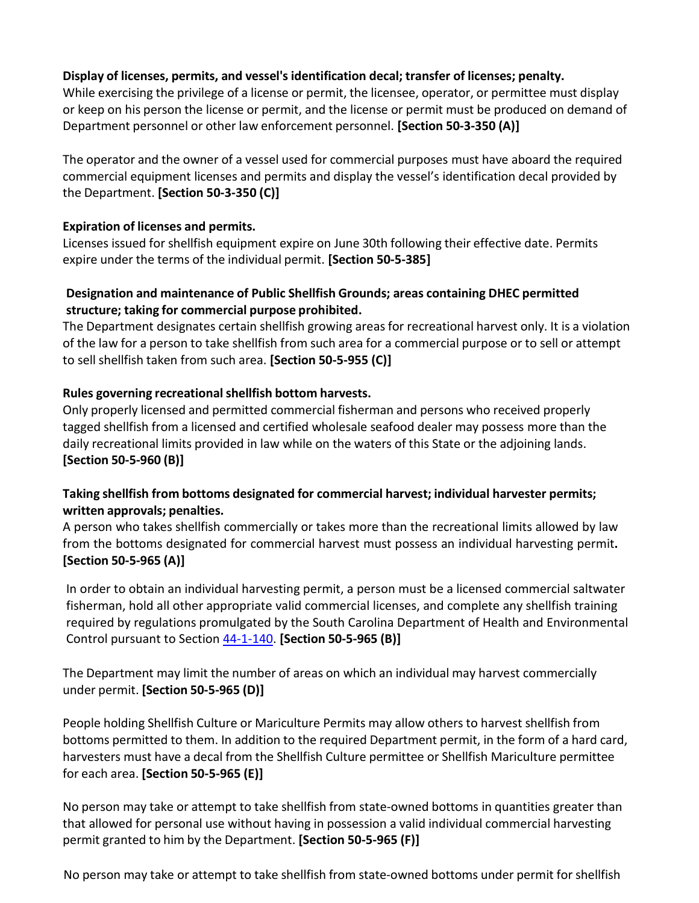#### **Display of licenses, permits, and vessel's identification decal; transfer of licenses; penalty.**

While exercising the privilege of a license or permit, the licensee, operator, or permittee must display or keep on his person the license or permit, and the license or permit must be produced on demand of Department personnel or other law enforcement personnel. **[Section 50-3-350 (A)]**

The operator and the owner of a vessel used for commercial purposes must have aboard the required commercial equipment licenses and permits and display the vessel's identification decal provided by the Department. **[Section 50-3-350 (C)]**

#### **Expiration of licenses and permits.**

Licenses issued for shellfish equipment expire on June 30th following their effective date. Permits expire under the terms of the individual permit. **[Section 50-5-385]**

## **Designation and maintenance of Public Shellfish Grounds; areas containing DHEC permitted structure; taking for commercial purpose prohibited.**

The Department designates certain shellfish growing areasfor recreational harvest only. It is a violation of the law for a person to take shellfish from such area for a commercial purpose or to sell or attempt to sell shellfish taken from such area. **[Section 50-5-955 (C)]**

## **Rules governing recreationalshellfish bottom harvests.**

Only properly licensed and permitted commercial fisherman and persons who received properly tagged shellfish from a licensed and certified wholesale seafood dealer may possess more than the daily recreational limits provided in law while on the waters of this State or the adjoining lands. **[Section 50-5-960 (B)]**

## **Taking shellfish from bottoms designated for commercial harvest; individual harvester permits; written approvals; penalties.**

A person who takes shellfish commercially or takes more than the recreational limits allowed by law from the bottoms designated for commercial harvest must possess an individual harvesting permit**. [Section 50-5-965 (A)]**

In order to obtain an individual harvesting permit, a person must be a licensed commercial saltwater fisherman, hold all other appropriate valid commercial licenses, and complete any shellfish training required by regulations promulgated by the South Carolina Department of Health and Environmental Control pursuant to Section [44-1-140.](http://www.scstatehouse.gov/code/t44c001.php#44-1-140) **[Section 50-5-965 (B)]**

The Department may limit the number of areas on which an individual may harvest commercially under permit. **[Section 50-5-965 (D)]**

People holding Shellfish Culture or Mariculture Permits may allow others to harvest shellfish from bottoms permitted to them. In addition to the required Department permit, in the form of a hard card, harvesters must have a decal from the Shellfish Culture permittee or Shellfish Mariculture permittee for each area. **[Section 50-5-965 (E)]**

No person may take or attempt to take shellfish from state-owned bottoms in quantities greater than that allowed for personal use without having in possession a valid individual commercial harvesting permit granted to him by the Department. **[Section 50-5-965 (F)]**

No person may take or attempt to take shellfish from state-owned bottoms under permit for shellfish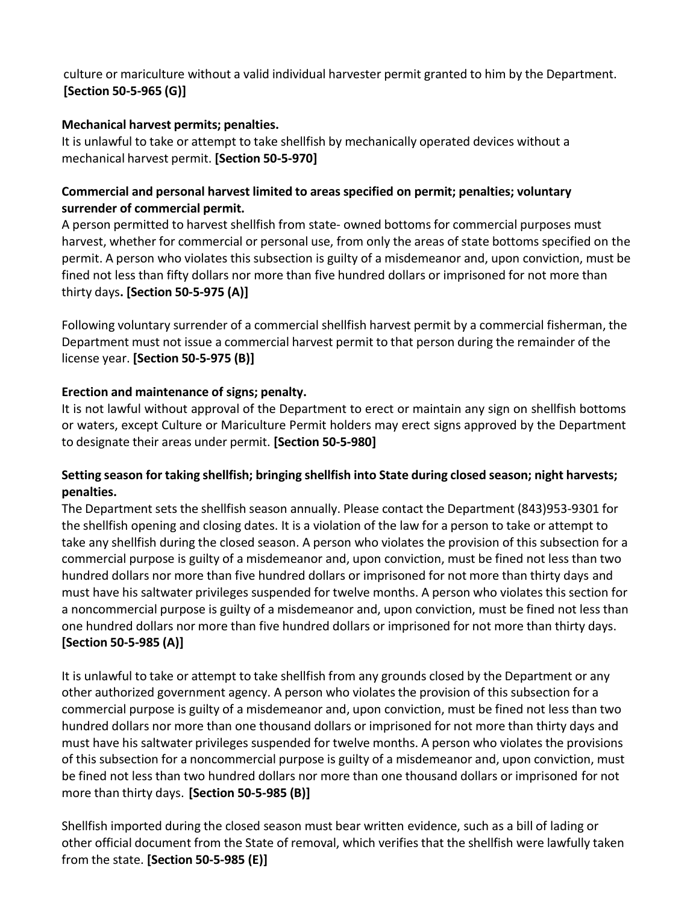## culture or mariculture without a valid individual harvester permit granted to him by the Department. **[Section 50-5-965 (G)]**

#### **Mechanical harvest permits; penalties.**

It is unlawful to take or attempt to take shellfish by mechanically operated devices without a mechanical harvest permit. **[Section 50-5-970]**

## **Commercial and personal harvest limited to areas specified on permit; penalties; voluntary surrender of commercial permit.**

A person permitted to harvest shellfish from state- owned bottomsfor commercial purposes must harvest, whether for commercial or personal use, from only the areas of state bottoms specified on the permit. A person who violates this subsection is guilty of a misdemeanor and, upon conviction, must be fined not less than fifty dollars nor more than five hundred dollars or imprisoned for not more than thirty days**. [Section 50-5-975 (A)]**

Following voluntary surrender of a commercial shellfish harvest permit by a commercial fisherman, the Department must not issue a commercial harvest permit to that person during the remainder of the license year. **[Section 50-5-975 (B)]**

## **Erection and maintenance of signs; penalty.**

It is not lawful without approval of the Department to erect or maintain any sign on shellfish bottoms or waters, except Culture or Mariculture Permit holders may erect signs approved by the Department to designate their areas under permit. **[Section 50-5-980]**

## **Setting season for taking shellfish; bringing shellfish into State during closed season; night harvests; penalties.**

The Department sets the shellfish season annually. Please contact the Department (843)953-9301 for the shellfish opening and closing dates. It is a violation of the law for a person to take or attempt to take any shellfish during the closed season. A person who violates the provision of this subsection for a commercial purpose is guilty of a misdemeanor and, upon conviction, must be fined not less than two hundred dollars nor more than five hundred dollars or imprisoned for not more than thirty days and must have his saltwater privileges suspended for twelve months. A person who violates this section for a noncommercial purpose is guilty of a misdemeanor and, upon conviction, must be fined not less than one hundred dollars nor more than five hundred dollars or imprisoned for not more than thirty days. **[Section 50-5-985 (A)]**

It is unlawful to take or attempt to take shellfish from any grounds closed by the Department or any other authorized government agency. A person who violates the provision of this subsection for a commercial purpose is guilty of a misdemeanor and, upon conviction, must be fined not less than two hundred dollars nor more than one thousand dollars or imprisoned for not more than thirty days and must have his saltwater privileges suspended for twelve months. A person who violates the provisions of this subsection for a noncommercial purpose is guilty of a misdemeanor and, upon conviction, must be fined not less than two hundred dollars nor more than one thousand dollars or imprisoned for not more than thirty days. **[Section 50-5-985 (B)]**

Shellfish imported during the closed season must bear written evidence, such as a bill of lading or other official document from the State of removal, which verifiesthat the shellfish were lawfully taken from the state. **[Section 50-5-985 (E)]**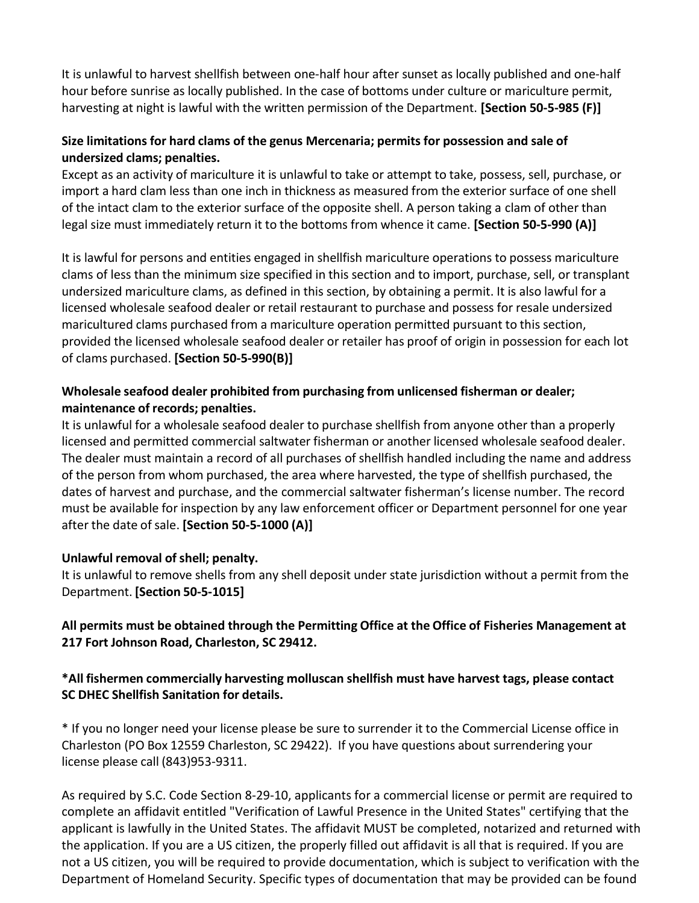It is unlawful to harvest shellfish between one-half hour after sunset as locally published and one-half hour before sunrise as locally published. In the case of bottoms under culture or mariculture permit, harvesting at night is lawful with the written permission of the Department. **[Section 50-5-985 (F)]**

## **Size limitations for hard clams of the genus Mercenaria; permits for possession and sale of undersized clams; penalties.**

Except as an activity of mariculture it is unlawful to take or attempt to take, possess, sell, purchase, or import a hard clam less than one inch in thickness as measured from the exterior surface of one shell of the intact clam to the exterior surface of the opposite shell. A person taking a clam of other than legal size must immediately return it to the bottoms from whence it came. **[Section 50-5-990 (A)]**

It is lawful for persons and entities engaged in shellfish mariculture operations to possess mariculture clams of less than the minimum size specified in this section and to import, purchase, sell, or transplant undersized mariculture clams, as defined in this section, by obtaining a permit. It is also lawful for a licensed wholesale seafood dealer or retail restaurant to purchase and possess for resale undersized maricultured clams purchased from a mariculture operation permitted pursuant to this section, provided the licensed wholesale seafood dealer or retailer has proof of origin in possession for each lot of clams purchased. **[Section 50-5-990(B)]**

# **Wholesale seafood dealer prohibited from purchasing from unlicensed fisherman or dealer; maintenance of records; penalties.**

It is unlawful for a wholesale seafood dealer to purchase shellfish from anyone other than a properly licensed and permitted commercial saltwater fisherman or another licensed wholesale seafood dealer. The dealer must maintain a record of all purchases of shellfish handled including the name and address of the person from whom purchased, the area where harvested, the type of shellfish purchased, the dates of harvest and purchase, and the commercial saltwater fisherman's license number. The record must be available for inspection by any law enforcement officer or Department personnel for one year after the date ofsale. **[Section 50-5-1000 (A)]**

# **Unlawful removal of shell; penalty.**

It is unlawful to remove shells from any shell deposit under state jurisdiction without a permit from the Department. **[Section 50-5-1015]**

# **All permits must be obtained through the Permitting Office at the Office of Fisheries Management at 217 Fort Johnson Road, Charleston, SC 29412.**

## **\*All fishermen commercially harvesting molluscan shellfish must have harvest tags, please contact SC DHEC Shellfish Sanitation for details.**

\* If you no longer need your license please be sure to surrender it to the Commercial License office in Charleston (PO Box 12559 Charleston, SC 29422). If you have questions about surrendering your license please call (843)953-9311.

As required by S.C. Code Section 8-29-10, applicants for a commercial license or permit are required to complete an affidavit entitled "Verification of Lawful Presence in the United States" certifying that the applicant is lawfully in the United States. The affidavit MUST be completed, notarized and returned with the application. If you are a US citizen, the properly filled out affidavit is all that is required. If you are not a US citizen, you will be required to provide documentation, which is subject to verification with the Department of Homeland Security. Specific types of documentation that may be provided can be found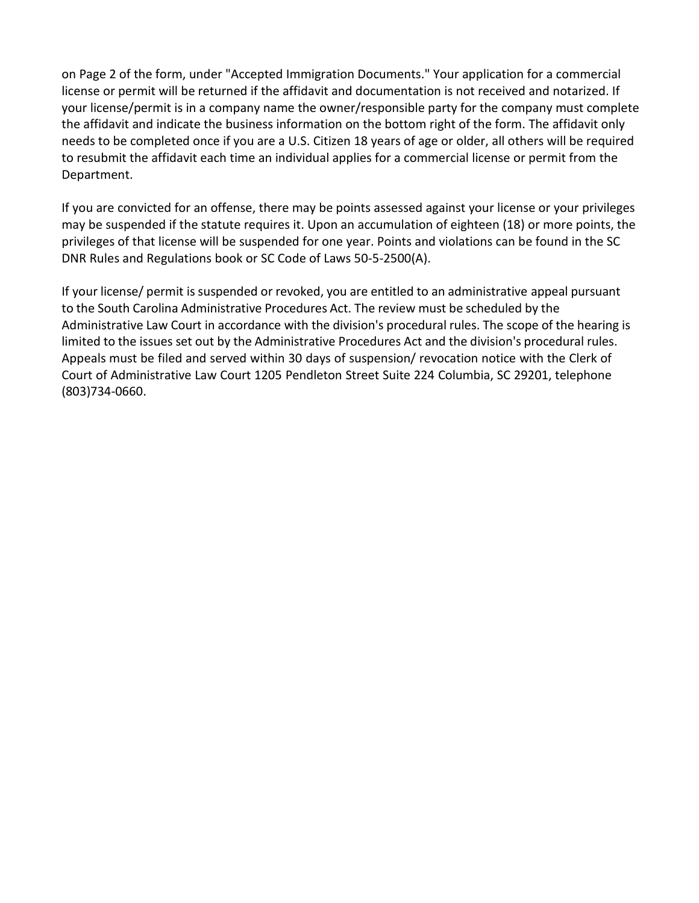on Page 2 of the form, under "Accepted Immigration Documents." Your application for a commercial license or permit will be returned if the affidavit and documentation is not received and notarized. If your license/permit is in a company name the owner/responsible party for the company must complete the affidavit and indicate the business information on the bottom right of the form. The affidavit only needs to be completed once if you are a U.S. Citizen 18 years of age or older, all others will be required to resubmit the affidavit each time an individual applies for a commercial license or permit from the Department.

If you are convicted for an offense, there may be points assessed against your license or your privileges may be suspended if the statute requires it. Upon an accumulation of eighteen (18) or more points, the privileges of that license will be suspended for one year. Points and violations can be found in the SC DNR Rules and Regulations book or SC Code of Laws 50-5-2500(A).

If your license/ permit is suspended or revoked, you are entitled to an administrative appeal pursuant to the South Carolina Administrative Procedures Act. The review must be scheduled by the Administrative Law Court in accordance with the division's procedural rules. The scope of the hearing is limited to the issues set out by the Administrative Procedures Act and the division's procedural rules. Appeals must be filed and served within 30 days of suspension/ revocation notice with the Clerk of Court of Administrative Law Court 1205 Pendleton Street Suite 224 Columbia, SC 29201, telephone (803)734-0660.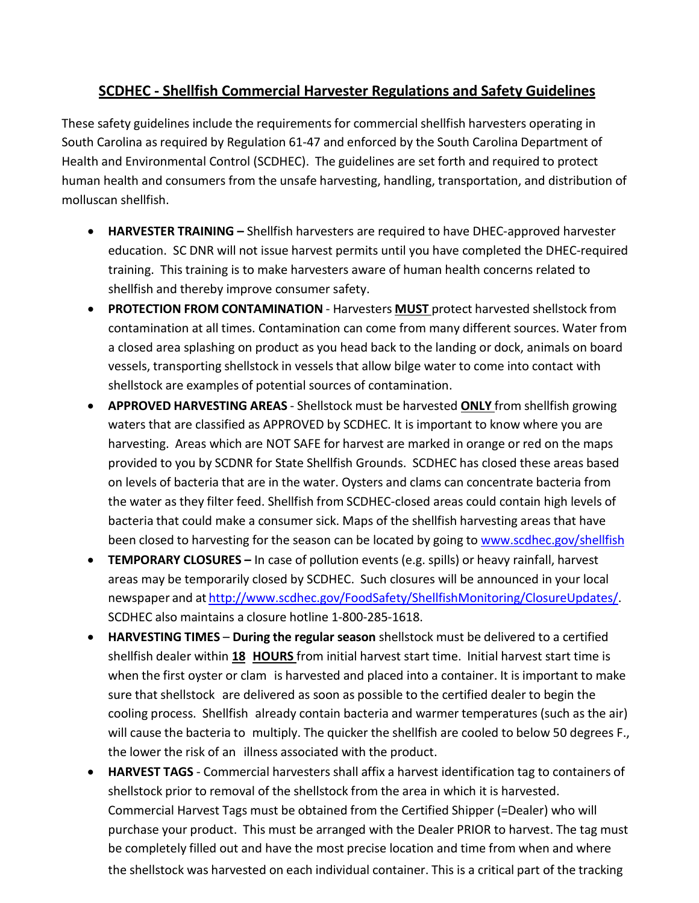# **SCDHEC - Shellfish Commercial Harvester Regulations and Safety Guidelines**

These safety guidelines include the requirements for commercial shellfish harvesters operating in South Carolina as required by Regulation 61-47 and enforced by the South Carolina Department of Health and Environmental Control (SCDHEC). The guidelines are set forth and required to protect human health and consumers from the unsafe harvesting, handling, transportation, and distribution of molluscan shellfish.

- **HARVESTER TRAINING –** Shellfish harvesters are required to have DHEC-approved harvester education. SC DNR will not issue harvest permits until you have completed the DHEC-required training. This training is to make harvesters aware of human health concerns related to shellfish and thereby improve consumer safety.
- **PROTECTION FROM CONTAMINATION** Harvesters **MUST** protect harvested shellstock from contamination at all times. Contamination can come from many different sources. Water from a closed area splashing on product as you head back to the landing or dock, animals on board vessels, transporting shellstock in vesselsthat allow bilge water to come into contact with shellstock are examples of potential sources of contamination.
- **APPROVED HARVESTING AREAS** Shellstock must be harvested **ONLY** from shellfish growing waters that are classified as APPROVED by SCDHEC. It is important to know where you are harvesting. Areas which are NOT SAFE for harvest are marked in orange or red on the maps provided to you by SCDNR for State Shellfish Grounds. SCDHEC has closed these areas based on levels of bacteria that are in the water. Oysters and clams can concentrate bacteria from the water as they filter feed. Shellfish from SCDHEC-closed areas could contain high levels of bacteria that could make a consumer sick. Maps of the shellfish harvesting areas that have been closed to harvesting for the season can be located by going to [www.scdhec.gov/shellfish](http://www.scdhec.gov/shellfish)
- **TEMPORARY CLOSURES –** In case of pollution events (e.g. spills) or heavy rainfall, harvest areas may be temporarily closed by SCDHEC. Such closures will be announced in your local newspaper and at [http://www.scdhec.gov/FoodSafety/ShellfishMonitoring/ClosureUpdates/.](http://www.scdhec.gov/FoodSafety/ShellfishMonitoring/ClosureUpdates/) SCDHEC also maintains a closure hotline 1-800-285-1618.
- **HARVESTING TIMES During the regular season** shellstock must be delivered to a certified shellfish dealer within **18 HOURS** from initial harvest start time. Initial harvest start time is when the first oyster or clam is harvested and placed into a container. It is important to make sure that shellstock are delivered as soon as possible to the certified dealer to begin the cooling process. Shellfish already contain bacteria and warmer temperatures (such as the air) will cause the bacteria to multiply. The quicker the shellfish are cooled to below 50 degrees F., the lower the risk of an illness associated with the product.
- **HARVEST TAGS** Commercial harvesters shall affix a harvest identification tag to containers of shellstock prior to removal of the shellstock from the area in which it is harvested. Commercial Harvest Tags must be obtained from the Certified Shipper (=Dealer) who will purchase your product. This must be arranged with the Dealer PRIOR to harvest. The tag must be completely filled out and have the most precise location and time from when and where

the shellstock was harvested on each individual container. This is a critical part of the tracking